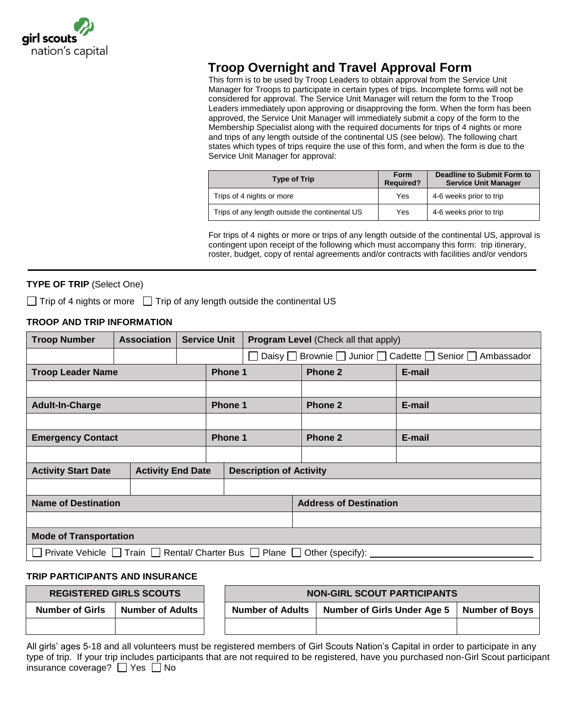

# **Troop Overnight and Travel Approval Form**

This form is to be used by Troop Leaders to obtain approval from the Service Unit Manager for Troops to participate in certain types of trips. Incomplete forms will not be considered for approval. The Service Unit Manager will return the form to the Troop Leaders immediately upon approving or disapproving the form. When the form has been approved, the Service Unit Manager will immediately submit a copy of the form to the Membership Specialist along with the required documents for trips of 4 nights or more and trips of any length outside of the continental US (see below). The following chart states which types of trips require the use of this form, and when the form is due to the Service Unit Manager for approval:

| <b>Type of Trip</b>                            | Form<br><b>Required?</b> | Deadline to Submit Form to<br><b>Service Unit Manager</b> |
|------------------------------------------------|--------------------------|-----------------------------------------------------------|
| Trips of 4 nights or more                      | Yes                      | 4-6 weeks prior to trip                                   |
| Trips of any length outside the continental US | Yes                      | 4-6 weeks prior to trip                                   |

For trips of 4 nights or more or trips of any length outside of the continental US, approval is contingent upon receipt of the following which must accompany this form: trip itinerary, roster, budget, copy of rental agreements and/or contracts with facilities and/or vendors

## **TYPE OF TRIP** (Select One)

 $\Box$  Trip of 4 nights or more  $\Box$  Trip of any length outside the continental US

### **TROOP AND TRIP INFORMATION**

| <b>Troop Number</b>                                                                             | <b>Association</b> | <b>Service Unit</b>            |         | <b>Program Level</b> (Check all that apply)                      |         |        |  |
|-------------------------------------------------------------------------------------------------|--------------------|--------------------------------|---------|------------------------------------------------------------------|---------|--------|--|
|                                                                                                 |                    |                                |         | Brownie   Junior   Cadette   Senior   Ambassador<br>Daisy $\Box$ |         |        |  |
| <b>Troop Leader Name</b>                                                                        |                    |                                |         | Phone 1                                                          | Phone 2 | E-mail |  |
|                                                                                                 |                    |                                |         |                                                                  |         |        |  |
| <b>Adult-In-Charge</b>                                                                          |                    |                                | Phone 1 |                                                                  | Phone 2 | E-mail |  |
|                                                                                                 |                    |                                |         |                                                                  |         |        |  |
| <b>Emergency Contact</b>                                                                        |                    | <b>Phone 1</b>                 |         |                                                                  | Phone 2 | E-mail |  |
|                                                                                                 |                    |                                |         |                                                                  |         |        |  |
| <b>Activity End Date</b><br><b>Activity Start Date</b>                                          |                    | <b>Description of Activity</b> |         |                                                                  |         |        |  |
|                                                                                                 |                    |                                |         |                                                                  |         |        |  |
| <b>Name of Destination</b>                                                                      |                    |                                |         | <b>Address of Destination</b>                                    |         |        |  |
|                                                                                                 |                    |                                |         |                                                                  |         |        |  |
| <b>Mode of Transportation</b>                                                                   |                    |                                |         |                                                                  |         |        |  |
| Train $\Box$ Rental/ Charter Bus $\Box$ Plane $\Box$ Other (specify):<br>Private Vehicle $\Box$ |                    |                                |         |                                                                  |         |        |  |

#### **TRIP PARTICIPANTS AND INSURANCE**

|                        | <b>REGISTERED GIRLS SCOUTS</b> | <b>NON-GIRL SCOUT PARTICIPANTS</b> |                                    |                       |
|------------------------|--------------------------------|------------------------------------|------------------------------------|-----------------------|
| <b>Number of Girls</b> | <b>Number of Adults</b>        | <b>Number of Adults</b>            | <b>Number of Girls Under Age 5</b> | <b>Number of Boys</b> |
|                        |                                |                                    |                                    |                       |

All girls' ages 5-18 and all volunteers must be registered members of Girl Scouts Nation's Capital in order to participate in any type of trip. If your trip includes participants that are not required to be registered, have you purchased non-Girl Scout participant insurance coverage?  $\Box$  Yes  $\Box$  No